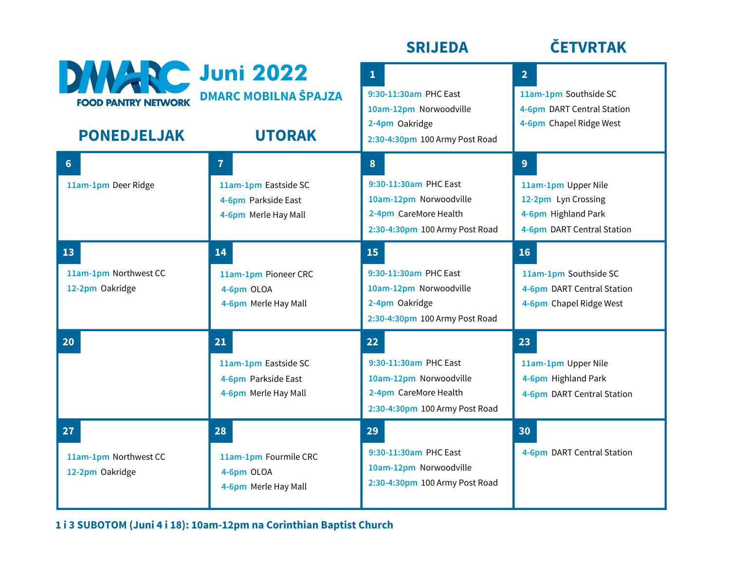|                                                                            |                                                                                     | <b>SRIJEDA</b>                                                                                                      | <b>ČETVRTAK</b>                                                                                                   |
|----------------------------------------------------------------------------|-------------------------------------------------------------------------------------|---------------------------------------------------------------------------------------------------------------------|-------------------------------------------------------------------------------------------------------------------|
| <b>DWARC Juni 2022</b><br><b>FOOD PANTRY NETWORK</b><br><b>PONEDJELJAK</b> | <b>DMARC MOBILNA ŠPAJZA</b><br><b>UTORAK</b>                                        | $\mathbf{1}$<br>9:30-11:30am PHC East<br>10am-12pm Norwoodville<br>2-4pm Oakridge<br>2:30-4:30pm 100 Army Post Road | 2 <sup>1</sup><br>11am-1pm Southside SC<br>4-6pm DART Central Station<br>4-6pm Chapel Ridge West                  |
| 6 <sup>1</sup><br>11am-1pm Deer Ridge                                      | $\mathbf{7}$<br>11am-1pm Eastside SC<br>4-6pm Parkside East<br>4-6pm Merle Hay Mall | 8<br>9:30-11:30am PHC East<br>10am-12pm Norwoodville<br>2-4pm CareMore Health<br>2:30-4:30pm 100 Army Post Road     | 9 <sup>°</sup><br>11am-1pm Upper Nile<br>12-2pm Lyn Crossing<br>4-6pm Highland Park<br>4-6pm DART Central Station |
| 13<br>11am-1pm Northwest CC<br>12-2pm Oakridge                             | 14<br>11am-1pm Pioneer CRC<br>4-6pm OLOA<br>4-6pm Merle Hay Mall                    | 15<br>9:30-11:30am PHC East<br>10am-12pm Norwoodville<br>2-4pm Oakridge<br>2:30-4:30pm 100 Army Post Road           | 16<br>11am-1pm Southside SC<br>4-6pm DART Central Station<br>4-6pm Chapel Ridge West                              |
| 20                                                                         | 21<br>11am-1pm Eastside SC<br>4-6pm Parkside East<br>4-6pm Merle Hay Mall           | 22<br>9:30-11:30am PHC Fast<br>10am-12pm Norwoodville<br>2-4pm CareMore Health<br>2:30-4:30pm 100 Army Post Road    | 23<br>11am-1pm Upper Nile<br>4-6pm Highland Park<br>4-6pm DART Central Station                                    |
| 27<br>11am-1pm Northwest CC<br>12-2pm Oakridge                             | 28<br>11am-1pm Fourmile CRC<br>4-6pm OLOA<br>4-6pm Merle Hay Mall                   | 29<br>9:30-11:30am PHC East<br>10am-12pm Norwoodville<br>2:30-4:30pm 100 Army Post Road                             | 30<br>4-6pm DART Central Station                                                                                  |

**1 i 3 SUBOTOM (Juni 4 i 18): 10am-12pm na Corinthian Baptist Church**